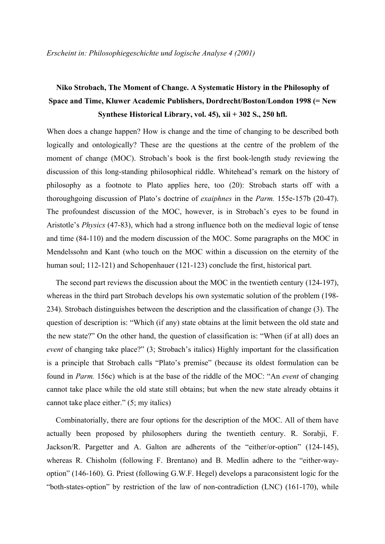# **Niko Strobach, The Moment of Change. A Systematic History in the Philosophy of Space and Time, Kluwer Academic Publishers, Dordrecht/Boston/London 1998 (= New Synthese Historical Library, vol. 45), xii + 302 S., 250 hfl.**

When does a change happen? How is change and the time of changing to be described both logically and ontologically? These are the questions at the centre of the problem of the moment of change (MOC). Strobach's book is the first book-length study reviewing the discussion of this long-standing philosophical riddle. Whitehead's remark on the history of philosophy as a footnote to Plato applies here, too (20): Strobach starts off with a thoroughgoing discussion of Plato's doctrine of *exaiphnes* in the *Parm.* 155e-157b (20-47). The profoundest discussion of the MOC, however, is in Strobach's eyes to be found in Aristotle's *Physics* (47-83), which had a strong influence both on the medieval logic of tense and time (84-110) and the modern discussion of the MOC. Some paragraphs on the MOC in Mendelssohn and Kant (who touch on the MOC within a discussion on the eternity of the human soul; 112-121) and Schopenhauer (121-123) conclude the first, historical part.

The second part reviews the discussion about the MOC in the twentieth century (124-197), whereas in the third part Strobach develops his own systematic solution of the problem (198- 234). Strobach distinguishes between the description and the classification of change (3). The question of description is: "Which (if any) state obtains at the limit between the old state and the new state?" On the other hand, the question of classification is: "When (if at all) does an *event* of changing take place?" (3; Strobach's italics) Highly important for the classification is a principle that Strobach calls "Plato's premise" (because its oldest formulation can be found in *Parm.* 156c) which is at the base of the riddle of the MOC: "An *event* of changing cannot take place while the old state still obtains; but when the new state already obtains it cannot take place either." (5; my italics)

Combinatorially, there are four options for the description of the MOC. All of them have actually been proposed by philosophers during the twentieth century. R. Sorabji, F. Jackson/R. Pargetter and A. Galton are adherents of the "either/or-option" (124-145), whereas R. Chisholm (following F. Brentano) and B. Medlin adhere to the "either-wayoption" (146-160). G. Priest (following G.W.F. Hegel) develops a paraconsistent logic for the "both-states-option" by restriction of the law of non-contradiction (LNC) (161-170), while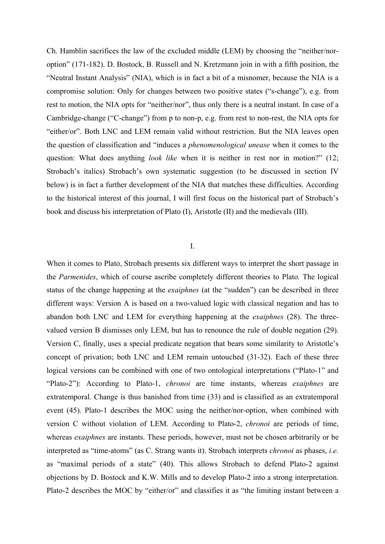Ch. Hamblin sacrifices the law of the excluded middle (LEM) by choosing the "neither/noroption" (171-182). D. Bostock, B. Russell and N. Kretzmann join in with a fifth position, the "Neutral Instant Analysis" (NIA), which is in fact a bit of a misnomer, because the NIA is a compromise solution: Only for changes between two positive states ("s-change"), e.g. from rest to motion, the NIA opts for "neither/nor", thus only there is a neutral instant. In case of a Cambridge-change ("C-change") from p to non-p, e.g. from rest to non-rest, the NIA opts for "either/or". Both LNC and LEM remain valid without restriction. But the NIA leaves open the question of classification and "induces a *phenomenological unease* when it comes to the question: What does anything *look like* when it is neither in rest nor in motion?" (12; Strobach's italics) Strobach's own systematic suggestion (to be discussed in section IV below) is in fact a further development of the NIA that matches these difficulties. According to the historical interest of this journal, I will first focus on the historical part of Strobach's book and discuss his interpretation of Plato (I), Aristotle (II) and the medievals (III).

## I.

When it comes to Plato, Strobach presents six different ways to interpret the short passage in the *Parmenides*, which of course ascribe completely different theories to Plato*.* The logical status of the change happening at the *exaiphnes* (at the "sudden") can be described in three different ways: Version A is based on a two-valued logic with classical negation and has to abandon both LNC and LEM for everything happening at the *exaiphnes* (28). The threevalued version B dismisses only LEM, but has to renounce the rule of double negation (29). Version C, finally, uses a special predicate negation that bears some similarity to Aristotle's concept of privation; both LNC and LEM remain untouched (31-32). Each of these three logical versions can be combined with one of two ontological interpretations ("Plato-1" and "Plato-2"): According to Plato-1, *chronoi* are time instants, whereas *exaiphnes* are extratemporal. Change is thus banished from time (33) and is classified as an extratemporal event (45). Plato-1 describes the MOC using the neither/nor-option, when combined with version C without violation of LEM. According to Plato-2, *chronoi* are periods of time, whereas *exaiphnes* are instants. These periods, however, must not be chosen arbitrarily or be interpreted as "time-atoms" (as C. Strang wants it). Strobach interprets *chronoi* as phases, *i.e.* as "maximal periods of a state" (40). This allows Strobach to defend Plato-2 against objections by D. Bostock and K.W. Mills and to develop Plato-2 into a strong interpretation. Plato-2 describes the MOC by "either/or" and classifies it as "the limiting instant between a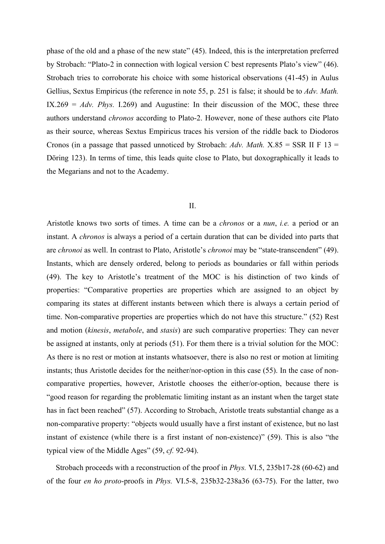phase of the old and a phase of the new state" (45). Indeed, this is the interpretation preferred by Strobach: "Plato-2 in connection with logical version C best represents Plato's view" (46). Strobach tries to corroborate his choice with some historical observations (41-45) in Aulus Gellius, Sextus Empiricus (the reference in note 55, p. 251 is false; it should be to *Adv. Math.* IX.269 =  $Adv. Phys. I.269$  and Augustine: In their discussion of the MOC, these three authors understand *chronos* according to Plato-2. However, none of these authors cite Plato as their source, whereas Sextus Empiricus traces his version of the riddle back to Diodoros Cronos (in a passage that passed unnoticed by Strobach: *Adv. Math.* X.85 = SSR II F 13 = Döring 123). In terms of time, this leads quite close to Plato, but doxographically it leads to the Megarians and not to the Academy.

#### $II$ .

Aristotle knows two sorts of times. A time can be a *chronos* or a *nun*, *i.e.* a period or an instant. A *chronos* is always a period of a certain duration that can be divided into parts that are *chronoi* as well. In contrast to Plato, Aristotle's *chronoi* may be "state-transcendent" (49). Instants, which are densely ordered, belong to periods as boundaries or fall within periods (49). The key to Aristotle's treatment of the MOC is his distinction of two kinds of properties: "Comparative properties are properties which are assigned to an object by comparing its states at different instants between which there is always a certain period of time. Non-comparative properties are properties which do not have this structure." (52) Rest and motion (*kinesis*, *metabole*, and *stasis*) are such comparative properties: They can never be assigned at instants, only at periods (51). For them there is a trivial solution for the MOC: As there is no rest or motion at instants whatsoever, there is also no rest or motion at limiting instants; thus Aristotle decides for the neither/nor-option in this case (55). In the case of noncomparative properties, however, Aristotle chooses the either/or-option, because there is "good reason for regarding the problematic limiting instant as an instant when the target state has in fact been reached" (57). According to Strobach, Aristotle treats substantial change as a non-comparative property: "objects would usually have a first instant of existence, but no last instant of existence (while there is a first instant of non-existence)" (59). This is also "the typical view of the Middle Ages" (59, *cf.* 92-94).

Strobach proceeds with a reconstruction of the proof in *Phys.* VI.5, 235b17-28 (60-62) and of the four *en ho proto*-proofs in *Phys.* VI.5-8, 235b32-238a36 (63-75). For the latter, two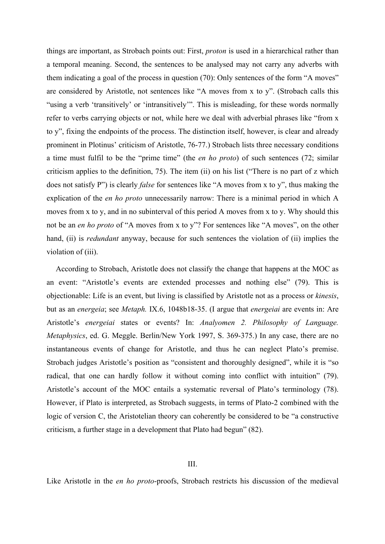things are important, as Strobach points out: First, *proton* is used in a hierarchical rather than a temporal meaning. Second, the sentences to be analysed may not carry any adverbs with them indicating a goal of the process in question (70): Only sentences of the form "A moves" are considered by Aristotle, not sentences like "A moves from x to y". (Strobach calls this "using a verb 'transitively' or 'intransitively'". This is misleading, for these words normally refer to verbs carrying objects or not, while here we deal with adverbial phrases like "from x to y", fixing the endpoints of the process. The distinction itself, however, is clear and already prominent in Plotinus' criticism of Aristotle, 76-77.) Strobach lists three necessary conditions a time must fulfil to be the "prime time" (the *en ho proto*) of such sentences (72; similar criticism applies to the definition, 75). The item (ii) on his list ("There is no part of z which does not satisfy P") is clearly *false* for sentences like "A moves from x to y", thus making the explication of the *en ho proto* unnecessarily narrow: There is a minimal period in which A moves from x to y, and in no subinterval of this period A moves from x to y. Why should this not be an *en ho proto* of "A moves from x to y"? For sentences like "A moves", on the other hand, (ii) is *redundant* anyway, because for such sentences the violation of (ii) implies the violation of (iii).

According to Strobach, Aristotle does not classify the change that happens at the MOC as an event: "Aristotle's events are extended processes and nothing else" (79). This is objectionable: Life is an event, but living is classified by Aristotle not as a process or *kinesis*, but as an *energeia*; see *Metaph.* IX.6, 1048b18-35. (I argue that *energeiai* are events in: Are Aristotle's *energeiai* states or events? In: *Analyomen 2. Philosophy of Language. Metaphysics*, ed. G. Meggle. Berlin/New York 1997, S. 369-375.) In any case, there are no instantaneous events of change for Aristotle, and thus he can neglect Plato's premise. Strobach judges Aristotle's position as "consistent and thoroughly designed", while it is "so radical, that one can hardly follow it without coming into conflict with intuition" (79). Aristotle's account of the MOC entails a systematic reversal of Plato's terminology (78). However, if Plato is interpreted, as Strobach suggests, in terms of Plato-2 combined with the logic of version C, the Aristotelian theory can coherently be considered to be "a constructive criticism, a further stage in a development that Plato had begun" (82).

# III.

Like Aristotle in the *en ho proto*-proofs, Strobach restricts his discussion of the medieval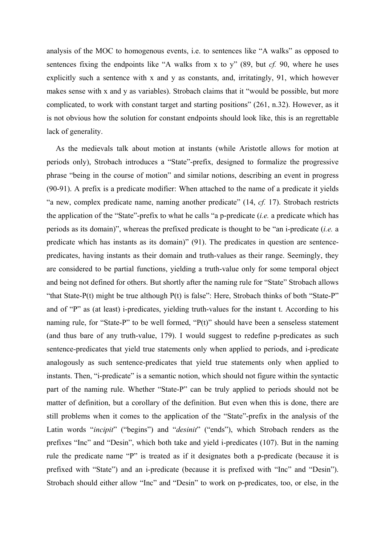analysis of the MOC to homogenous events, i.e. to sentences like "A walks" as opposed to sentences fixing the endpoints like "A walks from x to y" (89, but *cf.* 90, where he uses explicitly such a sentence with x and y as constants, and, irritatingly, 91, which however makes sense with x and y as variables). Strobach claims that it "would be possible, but more complicated, to work with constant target and starting positions" (261, n.32). However, as it is not obvious how the solution for constant endpoints should look like, this is an regrettable lack of generality.

As the medievals talk about motion at instants (while Aristotle allows for motion at periods only), Strobach introduces a "State"-prefix, designed to formalize the progressive phrase "being in the course of motion" and similar notions, describing an event in progress (90-91). A prefix is a predicate modifier: When attached to the name of a predicate it yields "a new, complex predicate name, naming another predicate" (14, *cf.* 17). Strobach restricts the application of the "State"-prefix to what he calls "a p-predicate (*i.e.* a predicate which has periods as its domain)", whereas the prefixed predicate is thought to be "an i-predicate (*i.e.* a predicate which has instants as its domain)" (91). The predicates in question are sentencepredicates, having instants as their domain and truth-values as their range. Seemingly, they are considered to be partial functions, yielding a truth-value only for some temporal object and being not defined for others. But shortly after the naming rule for "State" Strobach allows "that State-P(t) might be true although P(t) is false": Here, Strobach thinks of both "State-P" and of "P" as (at least) i-predicates, yielding truth-values for the instant t. According to his naming rule, for "State-P" to be well formed, "P(t)" should have been a senseless statement (and thus bare of any truth-value, 179). I would suggest to redefine p-predicates as such sentence-predicates that yield true statements only when applied to periods, and i-predicate analogously as such sentence-predicates that yield true statements only when applied to instants. Then, "i-predicate" is a semantic notion, which should not figure within the syntactic part of the naming rule. Whether "State-P" can be truly applied to periods should not be matter of definition, but a corollary of the definition. But even when this is done, there are still problems when it comes to the application of the "State"-prefix in the analysis of the Latin words "*incipit*" ("begins") and "*desinit*" ("ends"), which Strobach renders as the prefixes "Inc" and "Desin", which both take and yield i-predicates (107). But in the naming rule the predicate name "P" is treated as if it designates both a p-predicate (because it is prefixed with "State") and an i-predicate (because it is prefixed with "Inc" and "Desin"). Strobach should either allow "Inc" and "Desin" to work on p-predicates, too, or else, in the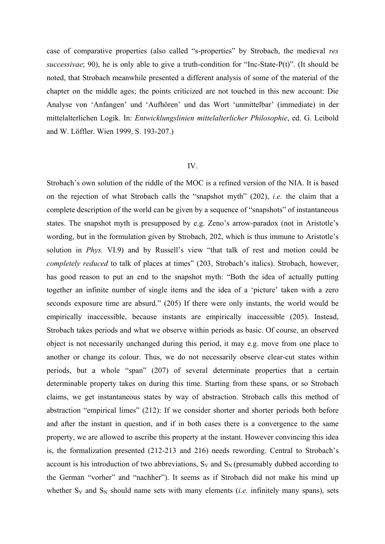case of comparative properties (also called "s-properties" by Strobach, the medieval *res successivae*; 90), he is only able to give a truth-condition for "Inc-State-P(t)". (It should be noted, that Strobach meanwhile presented a different analysis of some of the material of the chapter on the middle ages; the points criticized are not touched in this new account: Die Analyse von 'Anfangen' und 'Aufhören' und das Wort 'unmittelbar' (immediate) in der mittelalterlichen Logik. In: *Entwicklungslinien mittelalterlicher Philosophie*, ed. G. Leibold and W. Löffler. Wien 1999, S. 193-207.)

### IV.

Strobach's own solution of the riddle of the MOC is a refined version of the NIA. It is based on the rejection of what Strobach calls the "snapshot myth" (202), *i.e.* the claim that a complete description of the world can be given by a sequence of "snapshots" of instantaneous states. The snapshot myth is presupposed by e.g. Zeno's arrow-paradox (not in Aristotle's wording, but in the formulation given by Strobach, 202, which is thus immune to Aristotle's solution in *Phys.* VI.9) and by Russell's view "that talk of rest and motion could be *completely reduced* to talk of places at times" (203, Strobach's italics). Strobach, however, has good reason to put an end to the snapshot myth: "Both the idea of actually putting together an infinite number of single items and the idea of a 'picture' taken with a zero seconds exposure time are absurd." (205) If there were only instants, the world would be empirically inaccessible, because instants are empirically inaccessible (205). Instead, Strobach takes periods and what we observe within periods as basic. Of course, an observed object is not necessarily unchanged during this period, it may e.g. move from one place to another or change its colour. Thus, we do not necessarily observe clear-cut states within periods, but a whole "span" (207) of several determinate properties that a certain determinable property takes on during this time. Starting from these spans, or so Strobach claims, we get instantaneous states by way of abstraction. Strobach calls this method of abstraction "empirical limes" (212): If we consider shorter and shorter periods both before and after the instant in question, and if in both cases there is a convergence to the same property, we are allowed to ascribe this property at the instant. However convincing this idea is, the formalization presented (212-213 and 216) needs rewording. Central to Strobach's account is his introduction of two abbreviations,  $S_V$  and  $S_N$  (presumably dubbed according to the German "vorher" and "nachher"). It seems as if Strobach did not make his mind up whether  $S_V$  and  $S_N$  should name sets with many elements *(i.e.* infinitely many spans), sets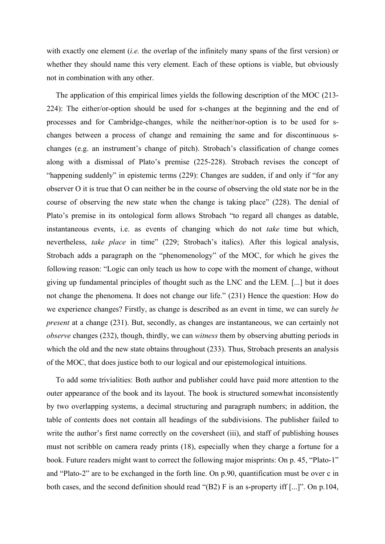with exactly one element (*i.e.* the overlap of the infinitely many spans of the first version) or whether they should name this very element. Each of these options is viable, but obviously not in combination with any other.

The application of this empirical limes yields the following description of the MOC (213- 224): The either/or-option should be used for s-changes at the beginning and the end of processes and for Cambridge-changes, while the neither/nor-option is to be used for schanges between a process of change and remaining the same and for discontinuous schanges (e.g. an instrument's change of pitch). Strobach's classification of change comes along with a dismissal of Plato's premise (225-228). Strobach revises the concept of "happening suddenly" in epistemic terms (229): Changes are sudden, if and only if "for any observer O it is true that O can neither be in the course of observing the old state nor be in the course of observing the new state when the change is taking place" (228). The denial of Plato's premise in its ontological form allows Strobach "to regard all changes as datable, instantaneous events, i.e. as events of changing which do not *take* time but which, nevertheless, *take place* in time" (229; Strobach's italics). After this logical analysis, Strobach adds a paragraph on the "phenomenology" of the MOC, for which he gives the following reason: "Logic can only teach us how to cope with the moment of change, without giving up fundamental principles of thought such as the LNC and the LEM. [...] but it does not change the phenomena. It does not change our life." (231) Hence the question: How do we experience changes? Firstly, as change is described as an event in time, we can surely *be present* at a change (231). But, secondly, as changes are instantaneous, we can certainly not *observe* changes (232), though, thirdly, we can *witness* them by observing abutting periods in which the old and the new state obtains throughout (233). Thus, Strobach presents an analysis of the MOC, that does justice both to our logical and our epistemological intuitions.

To add some trivialities: Both author and publisher could have paid more attention to the outer appearance of the book and its layout. The book is structured somewhat inconsistently by two overlapping systems, a decimal structuring and paragraph numbers; in addition, the table of contents does not contain all headings of the subdivisions. The publisher failed to write the author's first name correctly on the coversheet (iii), and staff of publishing houses must not scribble on camera ready prints (18), especially when they charge a fortune for a book. Future readers might want to correct the following major misprints: On p. 45, "Plato-1" and "Plato-2" are to be exchanged in the forth line. On p.90, quantification must be over c in both cases, and the second definition should read "(B2) F is an s-property iff [...]". On p.104,